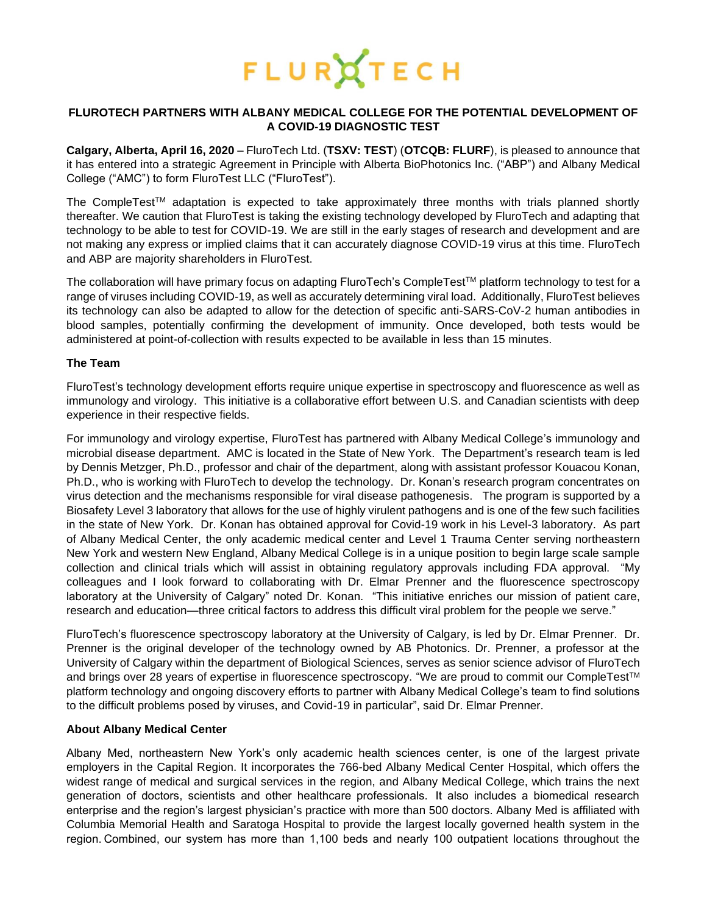

# **FLUROTECH PARTNERS WITH ALBANY MEDICAL COLLEGE FOR THE POTENTIAL DEVELOPMENT OF A COVID-19 DIAGNOSTIC TEST**

**Calgary, Alberta, April 16, 2020** – [FluroTech Ltd. \(](https://flurotech.com/)**TSXV: [TEST](https://flurotech.com/investors/)**) (**OTCQB: [FLURF](https://www.otcmarkets.com/stock/FLURF/overview)**), is pleased to announce that it has entered into a strategic Agreement in Principle with Alberta BioPhotonics Inc. ("ABP") and Albany Medical College ("AMC") to form FluroTest LLC ("FluroTest").

The CompleTest<sup>TM</sup> adaptation is expected to take approximately three months with trials planned shortly thereafter. We caution that FluroTest is taking the existing technology developed by FluroTech and adapting that technology to be able to test for COVID-19. We are still in the early stages of research and development and are not making any express or implied claims that it can accurately diagnose COVID-19 virus at this time. FluroTech and ABP are majority shareholders in FluroTest.

The collaboration will have primary focus on adapting FluroTech's CompleTest™ platform technology to test for a range of viruses including COVID-19, as well as accurately determining viral load. Additionally, FluroTest believes its technology can also be adapted to allow for the detection of specific anti-SARS-CoV-2 human antibodies in blood samples, potentially confirming the development of immunity. Once developed, both tests would be administered at point-of-collection with results expected to be available in less than 15 minutes.

## **The Team**

FluroTest's technology development efforts require unique expertise in spectroscopy and fluorescence as well as immunology and virology. This initiative is a collaborative effort between U.S. and Canadian scientists with deep experience in their respective fields.

For immunology and virology expertise, FluroTest has partnered with Albany Medical College's immunology and microbial disease department. AMC is located in the State of New York. The Department's research team is led by Dennis Metzger, Ph.D., professor and chair of the department, along with assistant professor Kouacou Konan, Ph.D., who is working with FluroTech to develop the technology. Dr. Konan's research program concentrates on virus detection and the mechanisms responsible for viral disease pathogenesis. The program is supported by a Biosafety Level 3 laboratory that allows for the use of highly virulent pathogens and is one of the few such facilities in the state of New York. Dr. Konan has obtained approval for Covid-19 work in his Level-3 laboratory. As part of Albany Medical Center, the only academic medical center and Level 1 Trauma Center serving northeastern New York and western New England, Albany Medical College is in a unique position to begin large scale sample collection and clinical trials which will assist in obtaining regulatory approvals including FDA approval. "My colleagues and I look forward to collaborating with Dr. Elmar Prenner and the fluorescence spectroscopy laboratory at the University of Calgary" noted Dr. Konan. "This initiative enriches our mission of patient care, research and education—three critical factors to address this difficult viral problem for the people we serve."

FluroTech's fluorescence spectroscopy laboratory at the University of Calgary, is led by Dr. Elmar Prenner. Dr. Prenner is the original developer of the technology owned by AB Photonics. Dr. Prenner, a professor at the University of Calgary within the department of Biological Sciences, serves as senior science advisor of FluroTech and brings over 28 years of expertise in fluorescence spectroscopy. "We are proud to commit our CompleTest™ platform technology and ongoing discovery efforts to partner with Albany Medical College's team to find solutions to the difficult problems posed by viruses, and Covid-19 in particular", said Dr. Elmar Prenner.

#### **About Albany Medical Center**

Albany Med, northeastern New York's only academic health sciences center, is one of the largest private employers in the Capital Region. It incorporates the 766-bed Albany Medical Center Hospital, which offers the widest range of medical and surgical services in the region, and Albany Medical College, which trains the next generation of doctors, scientists and other healthcare professionals.  It also includes a biomedical research enterprise and the region's largest physician's practice with more than 500 doctors. Albany Med is affiliated with Columbia Memorial Health and Saratoga Hospital to provide the largest locally governed health system in the region. Combined, our system has more than 1,100 beds and nearly 100 outpatient locations throughout the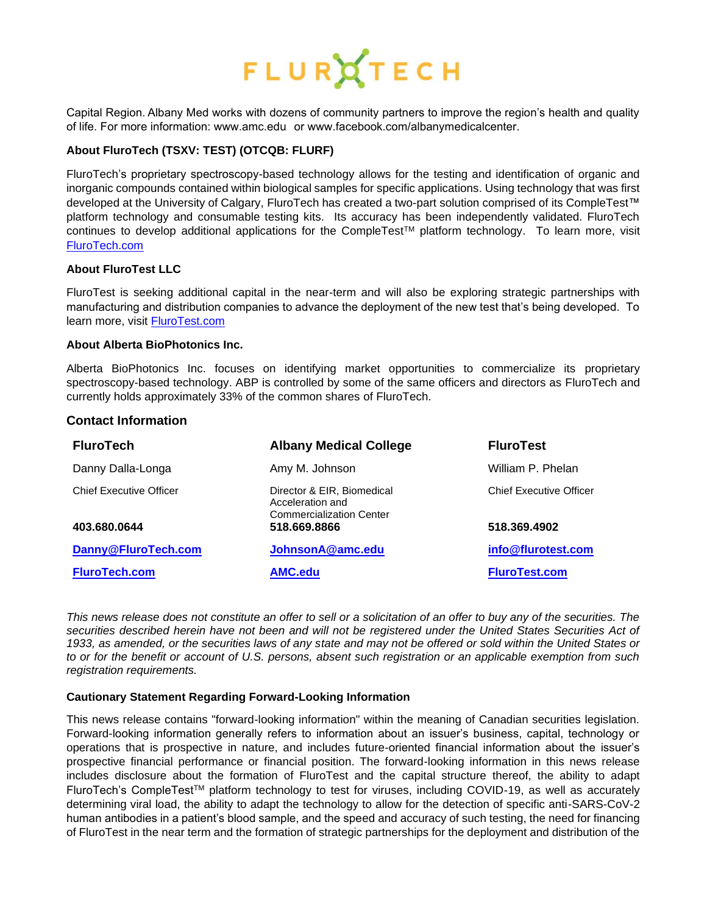# FLURATECH

Capital Region. Albany Med works with dozens of community partners to improve the region's health and quality of life. For more information: www.amc.edu   or www.facebook.com/albanymedicalcenter. 

# **About [FluroTech](http://flurotech.com/) (TSXV: [TEST\)](https://flurotech.com/investors/) (OTCQB: [FLURF\)](https://www.otcmarkets.com/stock/FLURF/overview)**

[FluroTech's](http://flurotech.com/) proprietary spectroscopy-based technology allows for the testing and identification of organic and inorganic compounds contained within biological samples for specific applications. Using technology that was first developed at the University of Calgary, [FluroTech](http://flurotech.com/) has created a two-part solution comprised of its [CompleTest™](http://flurotech.com/completest/) platform technology and consumable testing kits. Its accuracy has been independently validated. FluroTech continues to develop additional applications for the CompleTest™ platform technology. To learn more, visit [FluroTech.com](http://www.flurotech.com/)

# **About FluroTest LLC**

FluroTest is seeking additional capital in the near-term and will also be exploring strategic partnerships with manufacturing and distribution companies to advance the deployment of the new test that's being developed. To learn more, visit [FluroTest.com](http://www.flurotest.com/)

#### **About Alberta BioPhotonics Inc.**

Alberta BioPhotonics Inc. focuses on identifying market opportunities to commercialize its proprietary spectroscopy-based technology. ABP is controlled by some of the same officers and directors as FluroTech and currently holds approximately 33% of the common shares of FluroTech.

#### **Contact Information**

| <b>FluroTech</b>               | <b>Albany Medical College</b>                                                     | <b>FluroTest</b>               |
|--------------------------------|-----------------------------------------------------------------------------------|--------------------------------|
| Danny Dalla-Longa              | Amy M. Johnson                                                                    | William P. Phelan              |
| <b>Chief Executive Officer</b> | Director & EIR, Biomedical<br>Acceleration and<br><b>Commercialization Center</b> | <b>Chief Executive Officer</b> |
| 403.680.0644                   | 518.669.8866                                                                      | 518.369.4902                   |
| Danny@FluroTech.com            | JohnsonA@amc.edu                                                                  | info@flurotest.com             |
| <b>FluroTech.com</b>           | <b>AMC.edu</b>                                                                    | <b>FluroTest.com</b>           |

*This news release does not constitute an offer to sell or a solicitation of an offer to buy any of the securities. The securities described herein have not been and will not be registered under the United States Securities Act of*  1933, as amended, or the securities laws of any state and may not be offered or sold within the United States or *to or for the benefit or account of U.S. persons, absent such registration or an applicable exemption from such registration requirements.*

#### **Cautionary Statement Regarding Forward-Looking Information**

This news release contains "forward-looking information" within the meaning of Canadian securities legislation. Forward-looking information generally refers to information about an issuer's business, capital, technology or operations that is prospective in nature, and includes future-oriented financial information about the issuer's prospective financial performance or financial position. The forward-looking information in this news release includes disclosure about the formation of FluroTest and the capital structure thereof, the ability to adapt FluroTech's CompleTest™ platform technology to test for viruses, including COVID-19, as well as accurately determining viral load, the ability to adapt the technology to allow for the detection of specific anti-SARS-CoV-2 human antibodies in a patient's blood sample, and the speed and accuracy of such testing, the need for financing of FluroTest in the near term and the formation of strategic partnerships for the deployment and distribution of the